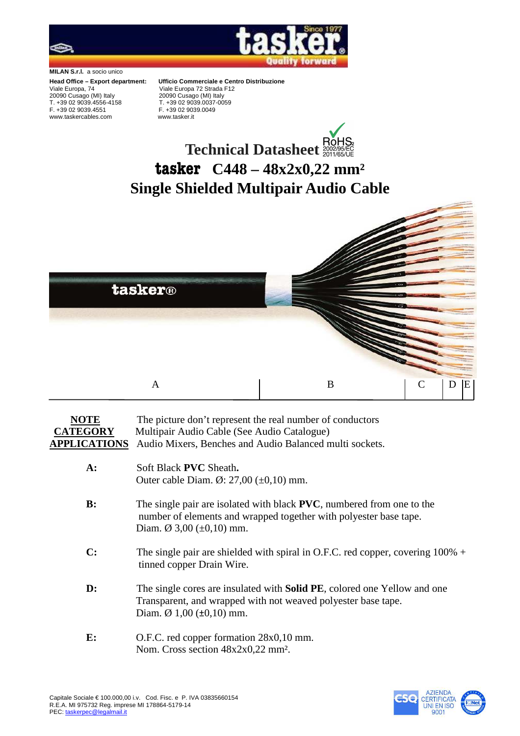

**MILAN S.r.l.** a socio unico

Viale Europa, 74Viale Europa 72 Strada F12 20090 Cusago (MI) Italy 20090 Cusago (MI) Italy T. +39 02 9039.4556-4158 T. +39 02 9039.0037-0059 www.taskercables.com www.tasker.it

**Head Office – Export department: Ufficio Commerciale e Centro Distribuzione**  F. +39 02 9039.0049

## **Technical Datasheet tasker C448 – 48x2x0,22 mm² Single Shielded Multipair Audio Cable**



## **NOTE** The picture don't represent the real number of conductors **CATEGORY** Multipair Audio Cable (See Audio Catalogue) **APPLICATIONS** Audio Mixers, Benches and Audio Balanced multi sockets.

- **A:** Soft Black **PVC** Sheath**.** Outer cable Diam. Ø: 27,00 (±0,10) mm.
- **B:** The single pair are isolated with black **PVC**, numbered from one to the number of elements and wrapped together with polyester base tape. Diam. Ø 3,00  $(\pm 0, 10)$  mm.
- **C:** The single pair are shielded with spiral in O.F.C. red copper, covering 100% + tinned copper Drain Wire.
- **D:** The single cores are insulated with **Solid PE**, colored one Yellow and one Transparent, and wrapped with not weaved polyester base tape. Diam.  $\varnothing$  1,00 ( $\pm$ 0,10) mm.
- **E:** O.F.C. red copper formation  $28x0,10$  mm. Nom. Cross section 48x2x0,22 mm².